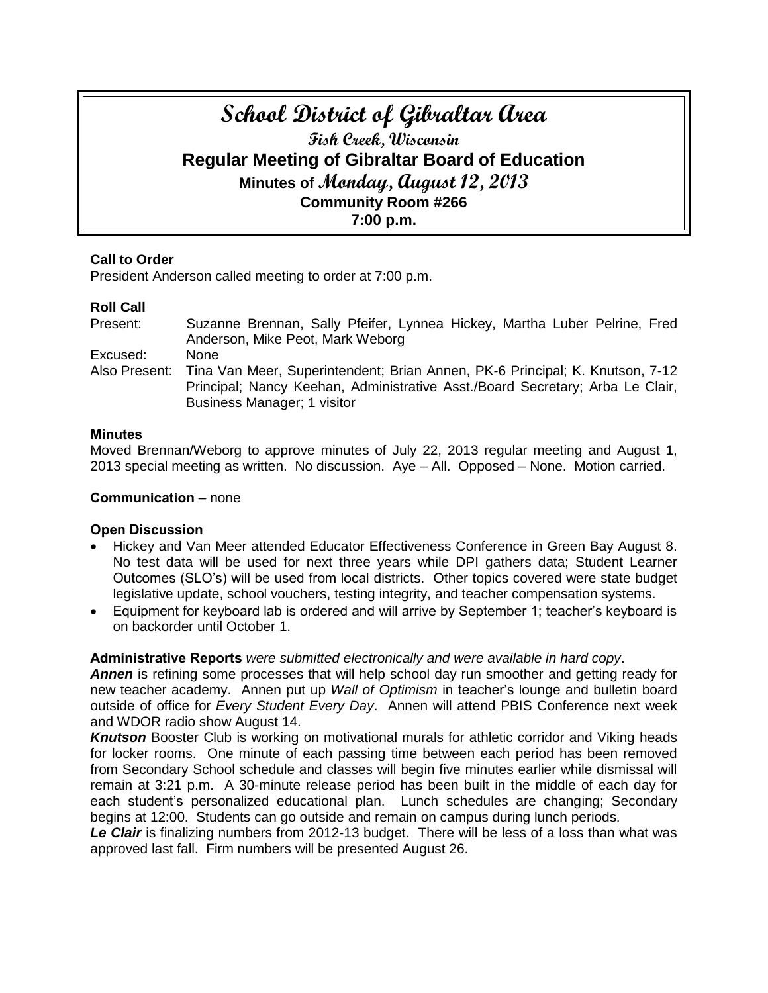# **School District of Gibraltar Area Fish Creek, Wisconsin Regular Meeting of Gibraltar Board of Education Minutes of Monday, August 12, 2013 Community Room #266 7:00 p.m.**

## **Call to Order**

President Anderson called meeting to order at 7:00 p.m.

## **Roll Call**

Present: Suzanne Brennan, Sally Pfeifer, Lynnea Hickey, Martha Luber Pelrine, Fred Anderson, Mike Peot, Mark Weborg Excused: None Also Present: Tina Van Meer, Superintendent; Brian Annen, PK-6 Principal; K. Knutson, 7-12 Principal; Nancy Keehan, Administrative Asst./Board Secretary; Arba Le Clair, Business Manager; 1 visitor

### **Minutes**

Moved Brennan/Weborg to approve minutes of July 22, 2013 regular meeting and August 1, 2013 special meeting as written. No discussion. Aye – All. Opposed – None. Motion carried.

#### **Communication** – none

## **Open Discussion**

- Hickey and Van Meer attended Educator Effectiveness Conference in Green Bay August 8. No test data will be used for next three years while DPI gathers data; Student Learner Outcomes (SLO's) will be used from local districts. Other topics covered were state budget legislative update, school vouchers, testing integrity, and teacher compensation systems.
- Equipment for keyboard lab is ordered and will arrive by September 1; teacher's keyboard is on backorder until October 1.

#### **Administrative Reports** *were submitted electronically and were available in hard copy*.

*Annen* is refining some processes that will help school day run smoother and getting ready for new teacher academy. Annen put up *Wall of Optimism* in teacher's lounge and bulletin board outside of office for *Every Student Every Day*. Annen will attend PBIS Conference next week and WDOR radio show August 14.

**Knutson** Booster Club is working on motivational murals for athletic corridor and Viking heads for locker rooms. One minute of each passing time between each period has been removed from Secondary School schedule and classes will begin five minutes earlier while dismissal will remain at 3:21 p.m. A 30-minute release period has been built in the middle of each day for each student's personalized educational plan. Lunch schedules are changing; Secondary begins at 12:00. Students can go outside and remain on campus during lunch periods.

Le Clair is finalizing numbers from 2012-13 budget. There will be less of a loss than what was approved last fall. Firm numbers will be presented August 26.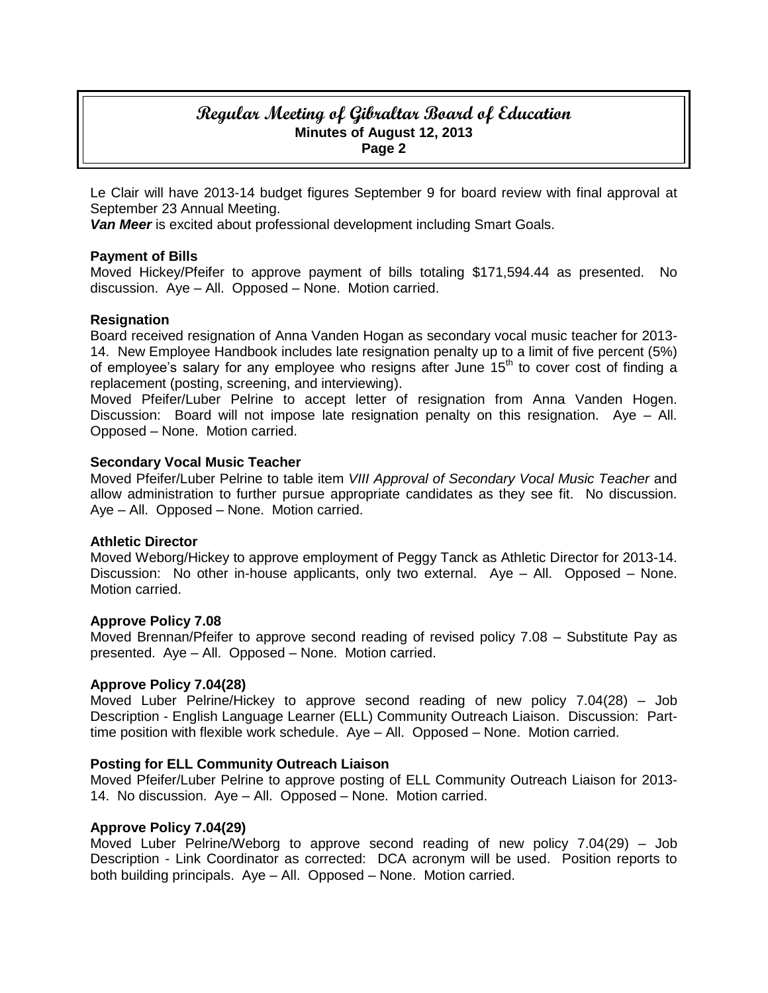## **Regular Meeting of Gibraltar Board of Education Minutes of August 12, 2013 Page 2**

Le Clair will have 2013-14 budget figures September 9 for board review with final approval at September 23 Annual Meeting.

*Van Meer* is excited about professional development including Smart Goals.

### **Payment of Bills**

Moved Hickey/Pfeifer to approve payment of bills totaling \$171,594.44 as presented. No discussion. Aye – All. Opposed – None. Motion carried.

### **Resignation**

Board received resignation of Anna Vanden Hogan as secondary vocal music teacher for 2013- 14. New Employee Handbook includes late resignation penalty up to a limit of five percent (5%) of employee's salary for any employee who resigns after June  $15<sup>th</sup>$  to cover cost of finding a replacement (posting, screening, and interviewing).

Moved Pfeifer/Luber Pelrine to accept letter of resignation from Anna Vanden Hogen. Discussion: Board will not impose late resignation penalty on this resignation. Aye – All. Opposed – None. Motion carried.

#### **Secondary Vocal Music Teacher**

Moved Pfeifer/Luber Pelrine to table item *VIII Approval of Secondary Vocal Music Teacher* and allow administration to further pursue appropriate candidates as they see fit. No discussion. Aye – All. Opposed – None. Motion carried.

#### **Athletic Director**

Moved Weborg/Hickey to approve employment of Peggy Tanck as Athletic Director for 2013-14. Discussion: No other in-house applicants, only two external. Aye – All. Opposed – None. Motion carried.

#### **Approve Policy 7.08**

Moved Brennan/Pfeifer to approve second reading of revised policy 7.08 – Substitute Pay as presented. Aye – All. Opposed – None. Motion carried.

#### **Approve Policy 7.04(28)**

Moved Luber Pelrine/Hickey to approve second reading of new policy 7.04(28) – Job Description - English Language Learner (ELL) Community Outreach Liaison. Discussion: Parttime position with flexible work schedule. Aye – All. Opposed – None. Motion carried.

#### **Posting for ELL Community Outreach Liaison**

Moved Pfeifer/Luber Pelrine to approve posting of ELL Community Outreach Liaison for 2013- 14. No discussion. Aye – All. Opposed – None. Motion carried.

#### **Approve Policy 7.04(29)**

Moved Luber Pelrine/Weborg to approve second reading of new policy 7.04(29) – Job Description - Link Coordinator as corrected: DCA acronym will be used. Position reports to both building principals. Aye – All. Opposed – None. Motion carried.